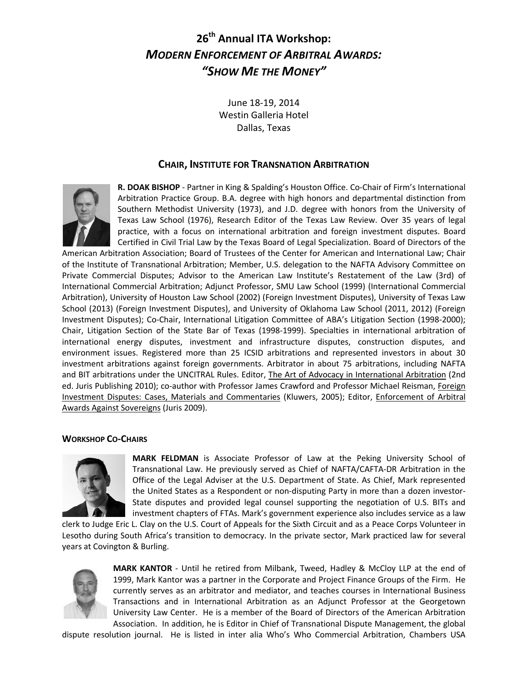# **26th Annual ITA Workshop:** *MODERN ENFORCEMENT OF ARBITRAL AWARDS: "SHOW ME THE MONEY"*

June 18-19, 2014 Westin Galleria Hotel Dallas, Texas

## **CHAIR, INSTITUTE FOR TRANSNATION ARBITRATION**



**R. DOAK BISHOP** - Partner in King & Spalding's Houston Office. Co-Chair of Firm's International Arbitration Practice Group. B.A. degree with high honors and departmental distinction from Southern Methodist University (1973), and J.D. degree with honors from the University of Texas Law School (1976), Research Editor of the Texas Law Review. Over 35 years of legal practice, with a focus on international arbitration and foreign investment disputes. Board Certified in Civil Trial Law by the Texas Board of Legal Specialization. Board of Directors of the

American Arbitration Association; Board of Trustees of the Center for American and International Law; Chair of the Institute of Transnational Arbitration; Member, U.S. delegation to the NAFTA Advisory Committee on Private Commercial Disputes; Advisor to the American Law Institute's Restatement of the Law (3rd) of International Commercial Arbitration; Adjunct Professor, SMU Law School (1999) (International Commercial Arbitration), University of Houston Law School (2002) (Foreign Investment Disputes), University of Texas Law School (2013) (Foreign Investment Disputes), and University of Oklahoma Law School (2011, 2012) (Foreign Investment Disputes); Co-Chair, International Litigation Committee of ABA's Litigation Section (1998-2000); Chair, Litigation Section of the State Bar of Texas (1998-1999). Specialties in international arbitration of international energy disputes, investment and infrastructure disputes, construction disputes, and environment issues. Registered more than 25 ICSID arbitrations and represented investors in about 30 investment arbitrations against foreign governments. Arbitrator in about 75 arbitrations, including NAFTA and BIT arbitrations under the UNCITRAL Rules. Editor, The Art of Advocacy in International Arbitration (2nd ed. Juris Publishing 2010); co-author with Professor James Crawford and Professor Michael Reisman, Foreign Investment Disputes: Cases, Materials and Commentaries (Kluwers, 2005); Editor, Enforcement of Arbitral Awards Against Sovereigns (Juris 2009).

#### **WORKSHOP CO-CHAIRS**



**MARK FELDMAN** is Associate Professor of Law at the Peking University School of Transnational Law. He previously served as Chief of NAFTA/CAFTA-DR Arbitration in the Office of the Legal Adviser at the U.S. Department of State. As Chief, Mark represented the United States as a Respondent or non-disputing Party in more than a dozen investor-State disputes and provided legal counsel supporting the negotiation of U.S. BITs and investment chapters of FTAs. Mark's government experience also includes service as a law

clerk to Judge Eric L. Clay on the U.S. Court of Appeals for the Sixth Circuit and as a Peace Corps Volunteer in Lesotho during South Africa's transition to democracy. In the private sector, Mark practiced law for several years at Covington & Burling.



**MARK KANTOR** - Until he retired from Milbank, Tweed, Hadley & McCloy LLP at the end of 1999, Mark Kantor was a partner in the Corporate and Project Finance Groups of the Firm. He currently serves as an arbitrator and mediator, and teaches courses in International Business Transactions and in International Arbitration as an Adjunct Professor at the Georgetown University Law Center. He is a member of the Board of Directors of the American Arbitration Association. In addition, he is Editor in Chief of Transnational Dispute Management, the global

dispute resolution journal. He is listed in inter alia Who's Who Commercial Arbitration, Chambers USA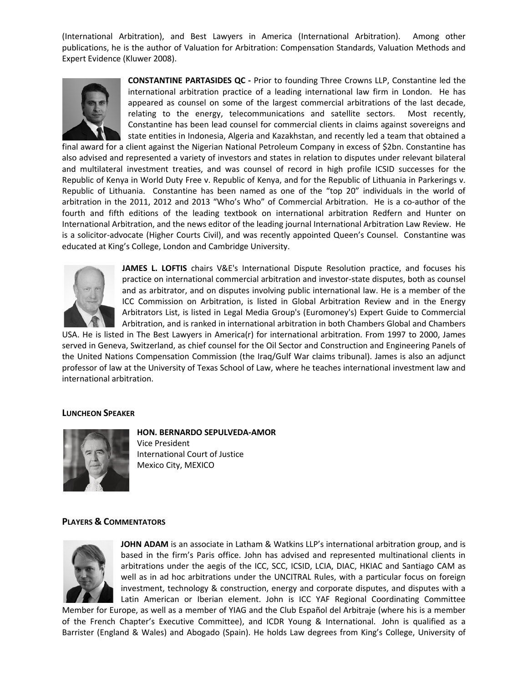(International Arbitration), and Best Lawyers in America (International Arbitration). Among other publications, he is the author of Valuation for Arbitration: Compensation Standards, Valuation Methods and Expert Evidence (Kluwer 2008).



**CONSTANTINE PARTASIDES QC -** Prior to founding Three Crowns LLP, Constantine led the international arbitration practice of a leading international law firm in London. He has appeared as counsel on some of the largest commercial arbitrations of the last decade, relating to the energy, telecommunications and satellite sectors. Most recently, Constantine has been lead counsel for commercial clients in claims against sovereigns and state entities in Indonesia, Algeria and Kazakhstan, and recently led a team that obtained a

final award for a client against the Nigerian National Petroleum Company in excess of \$2bn. Constantine has also advised and represented a variety of investors and states in relation to disputes under relevant bilateral and multilateral investment treaties, and was counsel of record in high profile ICSID successes for the Republic of Kenya in World Duty Free v. Republic of Kenya, and for the Republic of Lithuania in Parkerings v. Republic of Lithuania. Constantine has been named as one of the "top 20" individuals in the world of arbitration in the 2011, 2012 and 2013 "Who's Who" of Commercial Arbitration. He is a co-author of the fourth and fifth editions of the leading textbook on international arbitration Redfern and Hunter on International Arbitration, and the news editor of the leading journal International Arbitration Law Review. He is a solicitor-advocate (Higher Courts Civil), and was recently appointed Queen's Counsel. Constantine was educated at King's College, London and Cambridge University.



**JAMES L. LOFTIS** chairs V&E's International Dispute Resolution practice, and focuses his practice on international commercial arbitration and investor-state disputes, both as counsel and as arbitrator, and on disputes involving public international law. He is a member of the ICC Commission on Arbitration, is listed in Global Arbitration Review and in the Energy Arbitrators List, is listed in Legal Media Group's (Euromoney's) Expert Guide to Commercial Arbitration, and is ranked in international arbitration in both Chambers Global and Chambers

USA. He is listed in The Best Lawyers in America(r) for international arbitration. From 1997 to 2000, James served in Geneva, Switzerland, as chief counsel for the Oil Sector and Construction and Engineering Panels of the United Nations Compensation Commission (the Iraq/Gulf War claims tribunal). James is also an adjunct professor of law at the University of Texas School of Law, where he teaches international investment law and international arbitration.

#### **LUNCHEON SPEAKER**



**HON. BERNARDO SEPULVEDA-AMOR** Vice President International Court of Justice Mexico City, MEXICO

## **PLAYERS & COMMENTATORS**



**JOHN ADAM** is an associate in Latham & Watkins LLP's international arbitration group, and is based in the firm's Paris office. John has advised and represented multinational clients in arbitrations under the aegis of the ICC, SCC, ICSID, LCIA, DIAC, HKIAC and Santiago CAM as well as in ad hoc arbitrations under the UNCITRAL Rules, with a particular focus on foreign investment, technology & construction, energy and corporate disputes, and disputes with a Latin American or Iberian element. John is ICC YAF Regional Coordinating Committee

Member for Europe, as well as a member of YIAG and the Club Español del Arbitraje (where his is a member of the French Chapter's Executive Committee), and ICDR Young & International. John is qualified as a Barrister (England & Wales) and Abogado (Spain). He holds Law degrees from King's College, University of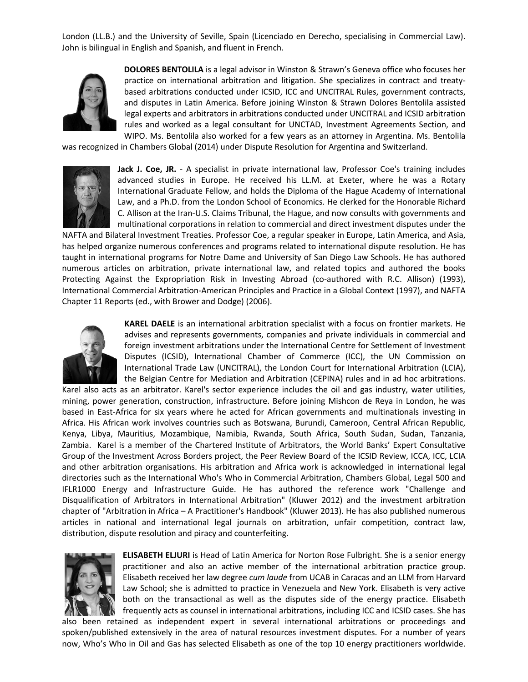London (LL.B.) and the University of Seville, Spain (Licenciado en Derecho, specialising in Commercial Law). John is bilingual in English and Spanish, and fluent in French.



**DOLORES BENTOLILA** is a legal advisor in Winston & Strawn's Geneva office who focuses her practice on international arbitration and litigation. She specializes in contract and treatybased arbitrations conducted under ICSID, ICC and UNCITRAL Rules, government contracts, and disputes in Latin America. Before joining Winston & Strawn Dolores Bentolila assisted legal experts and arbitrators in arbitrations conducted under UNCITRAL and ICSID arbitration rules and worked as a legal consultant for UNCTAD, Investment Agreements Section, and WIPO. Ms. Bentolila also worked for a few years as an attorney in Argentina. Ms. Bentolila

was recognized in Chambers Global (2014) under Dispute Resolution for Argentina and Switzerland.



Jack J. Coe, JR. - A specialist in private international law, Professor Coe's training includes advanced studies in Europe. He received his LL.M. at Exeter, where he was a Rotary International Graduate Fellow, and holds the Diploma of the Hague Academy of International Law, and a Ph.D. from the London School of Economics. He clerked for the Honorable Richard C. Allison at the Iran-U.S. Claims Tribunal, the Hague, and now consults with governments and multinational corporations in relation to commercial and direct investment disputes under the

NAFTA and Bilateral Investment Treaties. Professor Coe, a regular speaker in Europe, Latin America, and Asia, has helped organize numerous conferences and programs related to international dispute resolution. He has taught in international programs for Notre Dame and University of San Diego Law Schools. He has authored numerous articles on arbitration, private international law, and related topics and authored the books Protecting Against the Expropriation Risk in Investing Abroad (co-authored with R.C. Allison) (1993), International Commercial Arbitration-American Principles and Practice in a Global Context (1997), and NAFTA Chapter 11 Reports (ed., with Brower and Dodge) (2006).



**KAREL DAELE** is an international arbitration specialist with a focus on frontier markets. He advises and represents governments, companies and private individuals in commercial and foreign investment arbitrations under the International Centre for Settlement of Investment Disputes (ICSID), International Chamber of Commerce (ICC), the UN Commission on International Trade Law (UNCITRAL), the London Court for International Arbitration (LCIA), the Belgian Centre for Mediation and Arbitration (CEPINA) rules and in ad hoc arbitrations.

Karel also acts as an arbitrator. Karel's sector experience includes the oil and gas industry, water utilities, mining, power generation, construction, infrastructure. Before joining Mishcon de Reya in London, he was based in East-Africa for six years where he acted for African governments and multinationals investing in Africa. His African work involves countries such as Botswana, Burundi, Cameroon, Central African Republic, Kenya, Libya, Mauritius, Mozambique, Namibia, Rwanda, South Africa, South Sudan, Sudan, Tanzania, Zambia. Karel is a member of the Chartered Institute of Arbitrators, the World Banks' Expert Consultative Group of the Investment Across Borders project, the Peer Review Board of the ICSID Review, ICCA, ICC, LCIA and other arbitration organisations. His arbitration and Africa work is acknowledged in international legal directories such as the International Who's Who in Commercial Arbitration, Chambers Global, Legal 500 and IFLR1000 Energy and Infrastructure Guide. He has authored the reference work "Challenge and Disqualification of Arbitrators in International Arbitration" (Kluwer 2012) and the investment arbitration chapter of "Arbitration in Africa – A Practitioner's Handbook" (Kluwer 2013). He has also published numerous articles in national and international legal journals on arbitration, unfair competition, contract law, distribution, dispute resolution and piracy and counterfeiting.



**ELISABETH ELJURI** is Head of Latin America for Norton Rose Fulbright. She is a senior energy practitioner and also an active member of the international arbitration practice group. Elisabeth received her law degree *cum laude* from UCAB in Caracas and an LLM from Harvard Law School; she is admitted to practice in Venezuela and New York. Elisabeth is very active both on the transactional as well as the disputes side of the energy practice. Elisabeth frequently acts as counsel in international arbitrations, including ICC and ICSID cases. She has

also been retained as independent expert in several international arbitrations or proceedings and spoken/published extensively in the area of natural resources investment disputes. For a number of years now, Who's Who in Oil and Gas has selected Elisabeth as one of the top 10 energy practitioners worldwide.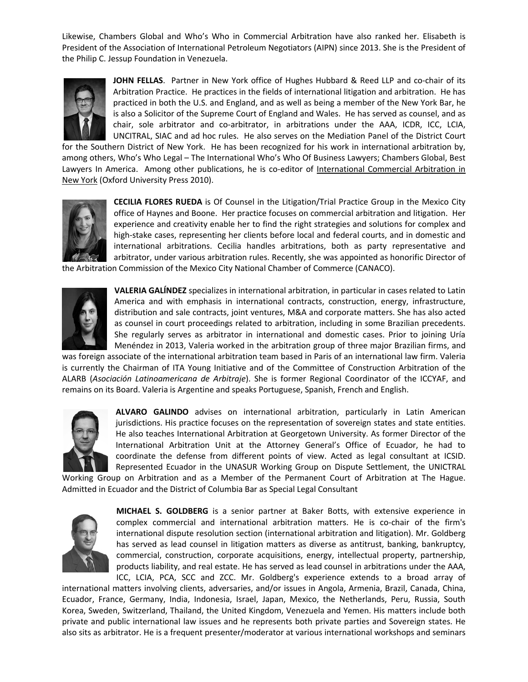Likewise, Chambers Global and Who's Who in Commercial Arbitration have also ranked her. Elisabeth is President of the Association of International Petroleum Negotiators (AIPN) since 2013. She is the President of the Philip C. Jessup Foundation in Venezuela.



**JOHN FELLAS**. Partner in New York office of Hughes Hubbard & Reed LLP and co-chair of its Arbitration Practice. He practices in the fields of international litigation and arbitration. He has practiced in both the U.S. and England, and as well as being a member of the New York Bar, he is also a Solicitor of the Supreme Court of England and Wales. He has served as counsel, and as chair, sole arbitrator and co-arbitrator, in arbitrations under the AAA, ICDR, ICC, LCIA, UNCITRAL, SIAC and ad hoc rules. He also serves on the Mediation Panel of the District Court

for the Southern District of New York. He has been recognized for his work in international arbitration by, among others, Who's Who Legal – The International Who's Who Of Business Lawyers; Chambers Global, Best Lawyers In America. Among other publications, he is co-editor of International Commercial Arbitration in New York (Oxford University Press 2010).



**CECILIA FLORES RUEDA** is Of Counsel in the Litigation/Trial Practice Group in the Mexico City office of Haynes and Boone. Her practice focuses on commercial arbitration and litigation. Her experience and creativity enable her to find the right strategies and solutions for complex and high-stake cases, representing her clients before local and federal courts, and in domestic and international arbitrations. Cecilia handles arbitrations, both as party representative and arbitrator, under various arbitration rules. Recently, she was appointed as honorific Director of

the Arbitration Commission of the Mexico City National Chamber of Commerce (CANACO).



**VALERIA GALÍNDEZ** specializes in international arbitration, in particular in cases related to Latin America and with emphasis in international contracts, construction, energy, infrastructure, distribution and sale contracts, joint ventures, M&A and corporate matters. She has also acted as counsel in court proceedings related to arbitration, including in some Brazilian precedents. She regularly serves as arbitrator in international and domestic cases. Prior to joining Uría Menéndez in 2013, Valeria worked in the arbitration group of three major Brazilian firms, and

was foreign associate of the international arbitration team based in Paris of an international law firm. Valeria is currently the Chairman of ITA Young Initiative and of the Committee of Construction Arbitration of the ALARB (*Asociación Latinoamericana de Arbitraje*). She is former Regional Coordinator of the ICCYAF, and remains on its Board. Valeria is Argentine and speaks Portuguese, Spanish, French and English.



**ALVARO GALINDO** advises on international arbitration, particularly in Latin American jurisdictions. His practice focuses on the representation of sovereign states and state entities. He also teaches International Arbitration at Georgetown University. As former Director of the International Arbitration Unit at the Attorney General's Office of Ecuador, he had to coordinate the defense from different points of view. Acted as legal consultant at ICSID. Represented Ecuador in the UNASUR Working Group on Dispute Settlement, the UNICTRAL

Working Group on Arbitration and as a Member of the Permanent Court of Arbitration at The Hague. Admitted in Ecuador and the District of Columbia Bar as Special Legal Consultant



**MICHAEL S. GOLDBERG** is a senior partner at Baker Botts, with extensive experience in complex commercial and international arbitration matters. He is co-chair of the firm's international dispute resolution section (international arbitration and litigation). Mr. Goldberg has served as lead counsel in litigation matters as diverse as antitrust, banking, bankruptcy, commercial, construction, corporate acquisitions, energy, intellectual property, partnership, products liability, and real estate. He has served as lead counsel in arbitrations under the AAA, ICC, LCIA, PCA, SCC and ZCC. Mr. Goldberg's experience extends to a broad array of

international matters involving clients, adversaries, and/or issues in Angola, Armenia, Brazil, Canada, China, Ecuador, France, Germany, India, Indonesia, Israel, Japan, Mexico, the Netherlands, Peru, Russia, South Korea, Sweden, Switzerland, Thailand, the United Kingdom, Venezuela and Yemen. His matters include both private and public international law issues and he represents both private parties and Sovereign states. He also sits as arbitrator. He is a frequent presenter/moderator at various international workshops and seminars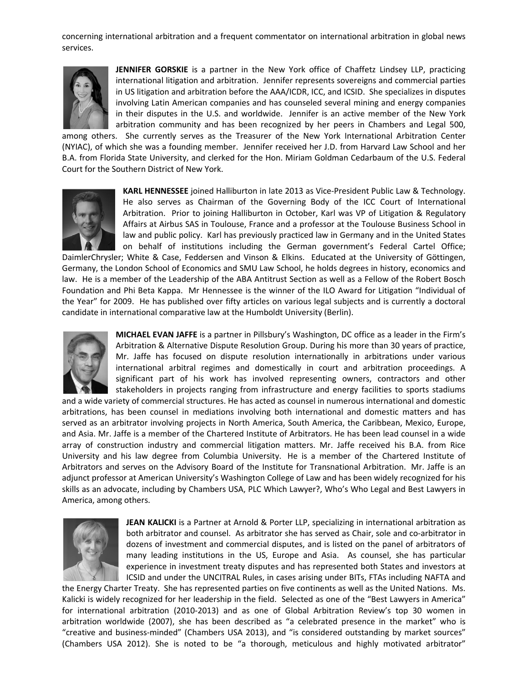concerning international arbitration and a frequent commentator on international arbitration in global news services.



**JENNIFER GORSKIE** is a partner in the New York office of Chaffetz Lindsey LLP, practicing international litigation and arbitration. Jennifer represents sovereigns and commercial parties in US litigation and arbitration before the AAA/ICDR, ICC, and ICSID. She specializes in disputes involving Latin American companies and has counseled several mining and energy companies in their disputes in the U.S. and worldwide. Jennifer is an active member of the New York arbitration community and has been recognized by her peers in Chambers and Legal 500,

among others. She currently serves as the Treasurer of the New York International Arbitration Center (NYIAC), of which she was a founding member. Jennifer received her J.D. from Harvard Law School and her B.A. from Florida State University, and clerked for the Hon. Miriam Goldman Cedarbaum of the U.S. Federal Court for the Southern District of New York.



**KARL HENNESSEE** joined Halliburton in late 2013 as Vice-President Public Law & Technology. He also serves as Chairman of the Governing Body of the ICC Court of International Arbitration. Prior to joining Halliburton in October, Karl was VP of Litigation & Regulatory Affairs at Airbus SAS in Toulouse, France and a professor at the Toulouse Business School in law and public policy. Karl has previously practiced law in Germany and in the United States on behalf of institutions including the German government's Federal Cartel Office;

DaimlerChrysler; White & Case, Feddersen and Vinson & Elkins. Educated at the University of Göttingen, Germany, the London School of Economics and SMU Law School, he holds degrees in history, economics and law. He is a member of the Leadership of the ABA Antitrust Section as well as a Fellow of the Robert Bosch Foundation and Phi Beta Kappa. Mr Hennessee is the winner of the ILO Award for Litigation "Individual of the Year" for 2009. He has published over fifty articles on various legal subjects and is currently a doctoral candidate in international comparative law at the Humboldt University (Berlin).



**MICHAEL EVAN JAFFE** is a partner in Pillsbury's Washington, DC office as a leader in the Firm's Arbitration & Alternative Dispute Resolution Group. During his more than 30 years of practice, Mr. Jaffe has focused on dispute resolution internationally in arbitrations under various international arbitral regimes and domestically in court and arbitration proceedings. A significant part of his work has involved representing owners, contractors and other stakeholders in projects ranging from infrastructure and energy facilities to sports stadiums

and a wide variety of commercial structures. He has acted as counsel in numerous international and domestic arbitrations, has been counsel in mediations involving both international and domestic matters and has served as an arbitrator involving projects in North America, South America, the Caribbean, Mexico, Europe, and Asia. Mr. Jaffe is a member of the Chartered Institute of Arbitrators. He has been lead counsel in a wide array of construction industry and commercial litigation matters. Mr. Jaffe received his B.A. from Rice University and his law degree from Columbia University. He is a member of the Chartered Institute of Arbitrators and serves on the Advisory Board of the Institute for Transnational Arbitration. Mr. Jaffe is an adjunct professor at American University's Washington College of Law and has been widely recognized for his skills as an advocate, including by Chambers USA, PLC Which Lawyer?, Who's Who Legal and Best Lawyers in America, among others.



**JEAN KALICKI** is a Partner at Arnold & Porter LLP, specializing in international arbitration as both arbitrator and counsel. As arbitrator she has served as Chair, sole and co-arbitrator in dozens of investment and commercial disputes, and is listed on the panel of arbitrators of many leading institutions in the US, Europe and Asia. As counsel, she has particular experience in investment treaty disputes and has represented both States and investors at ICSID and under the UNCITRAL Rules, in cases arising under BITs, FTAs including NAFTA and

the Energy Charter Treaty. She has represented parties on five continents as well as the United Nations. Ms. Kalicki is widely recognized for her leadership in the field. Selected as one of the "Best Lawyers in America" for international arbitration (2010-2013) and as one of Global Arbitration Review's top 30 women in arbitration worldwide (2007), she has been described as "a celebrated presence in the market" who is "creative and business-minded" (Chambers USA 2013), and "is considered outstanding by market sources" (Chambers USA 2012). She is noted to be "a thorough, meticulous and highly motivated arbitrator"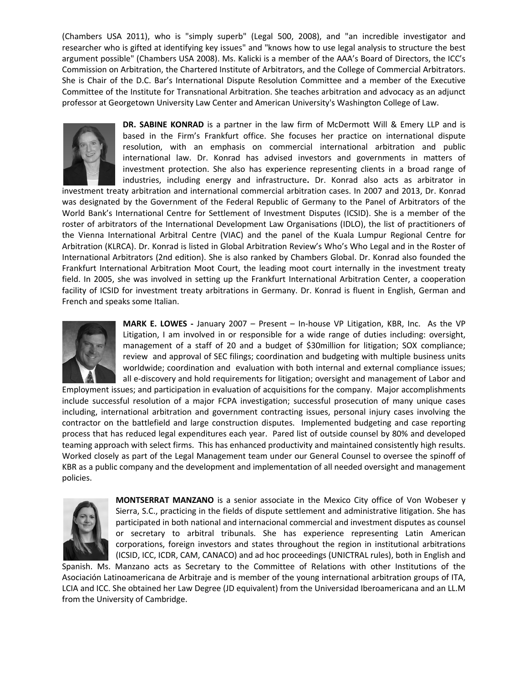(Chambers USA 2011), who is "simply superb" (Legal 500, 2008), and "an incredible investigator and researcher who is gifted at identifying key issues" and "knows how to use legal analysis to structure the best argument possible" (Chambers USA 2008). Ms. Kalicki is a member of the AAA's Board of Directors, the ICC's Commission on Arbitration, the Chartered Institute of Arbitrators, and the College of Commercial Arbitrators. She is Chair of the D.C. Bar's International Dispute Resolution Committee and a member of the Executive Committee of the Institute for Transnational Arbitration. She teaches arbitration and advocacy as an adjunct professor at Georgetown University Law Center and American University's Washington College of Law.



**DR. SABINE KONRAD** is a partner in the law firm of McDermott Will & Emery LLP and is based in the Firm's Frankfurt office. She focuses her practice on international dispute resolution, with an emphasis on commercial international arbitration and public international law. Dr. Konrad has advised investors and governments in matters of investment protection. She also has experience representing clients in a broad range of industries, including energy and infrastructure**.** Dr. Konrad also acts as arbitrator in

investment treaty arbitration and international commercial arbitration cases. In 2007 and 2013, Dr. Konrad was designated by the Government of the Federal Republic of Germany to the Panel of Arbitrators of the World Bank's International Centre for Settlement of Investment Disputes (ICSID). She is a member of the roster of arbitrators of the International Development Law Organisations (IDLO), the list of practitioners of the Vienna International Arbitral Centre (VIAC) and the panel of the Kuala Lumpur Regional Centre for Arbitration (KLRCA). Dr. Konrad is listed in Global Arbitration Review's Who's Who Legal and in the Roster of International Arbitrators (2nd edition). She is also ranked by Chambers Global. Dr. Konrad also founded the Frankfurt International Arbitration Moot Court, the leading moot court internally in the investment treaty field. In 2005, she was involved in setting up the Frankfurt International Arbitration Center, a cooperation facility of ICSID for investment treaty arbitrations in Germany. Dr. Konrad is fluent in English, German and French and speaks some Italian.



**MARK E. LOWES -** January 2007 – Present – In-house VP Litigation, KBR, Inc. As the VP Litigation, I am involved in or responsible for a wide range of duties including: oversight, management of a staff of 20 and a budget of \$30million for litigation; SOX compliance; review and approval of SEC filings; coordination and budgeting with multiple business units worldwide; coordination and evaluation with both internal and external compliance issues; all e-discovery and hold requirements for litigation; oversight and management of Labor and

Employment issues; and participation in evaluation of acquisitions for the company. Major accomplishments include successful resolution of a major FCPA investigation; successful prosecution of many unique cases including, international arbitration and government contracting issues, personal injury cases involving the contractor on the battlefield and large construction disputes. Implemented budgeting and case reporting process that has reduced legal expenditures each year. Pared list of outside counsel by 80% and developed teaming approach with select firms. This has enhanced productivity and maintained consistently high results. Worked closely as part of the Legal Management team under our General Counsel to oversee the spinoff of KBR as a public company and the development and implementation of all needed oversight and management policies.



**MONTSERRAT MANZANO** is a senior associate in the Mexico City office of Von Wobeser y Sierra, S.C., practicing in the fields of dispute settlement and administrative litigation. She has participated in both national and internacional commercial and investment disputes as counsel or secretary to arbitral tribunals. She has experience representing Latin American corporations, foreign investors and states throughout the region in institutional arbitrations (ICSID, ICC, ICDR, CAM, CANACO) and ad hoc proceedings (UNICTRAL rules), both in English and

Spanish. Ms. Manzano acts as Secretary to the Committee of Relations with other Institutions of the Asociación Latinoamericana de Arbitraje and is member of the young international arbitration groups of ITA, LCIA and ICC. She obtained her Law Degree (JD equivalent) from the Universidad Iberoamericana and an LL.M from the University of Cambridge.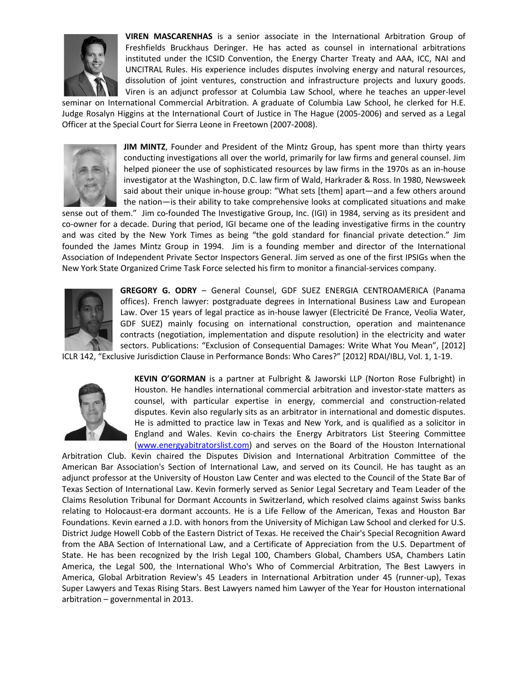

**VIREN MASCARENHAS** is a senior associate in the International Arbitration Group of Freshfields Bruckhaus Deringer. He has acted as counsel in international arbitrations instituted under the ICSID Convention, the Energy Charter Treaty and AAA, ICC, NAI and UNCITRAL Rules. His experience includes disputes involving energy and natural resources, dissolution of joint ventures, construction and infrastructure projects and luxury goods. Viren is an adjunct professor at Columbia Law School, where he teaches an upper-level

seminar on International Commercial Arbitration. A graduate of Columbia Law School, he clerked for H.E. Judge Rosalyn Higgins at the International Court of Justice in The Hague (2005-2006) and served as a Legal Officer at the Special Court for Sierra Leone in Freetown (2007-2008).



**JIM MINTZ**, Founder and President of the Mintz Group, has spent more than thirty years conducting investigations all over the world, primarily for law firms and general counsel. Jim helped pioneer the use of sophisticated resources by law firms in the 1970s as an in-house investigator at the Washington, D.C. law firm of Wald, Harkrader & Ross. In 1980, Newsweek said about their unique in-house group: "What sets [them] apart—and a few others around the nation—is their ability to take comprehensive looks at complicated situations and make

sense out of them." Jim co-founded The Investigative Group, Inc. (IGI) in 1984, serving as its president and co-owner for a decade. During that period, IGI became one of the leading investigative firms in the country and was cited by the New York Times as being "the gold standard for financial private detection." Jim founded the James Mintz Group in 1994. Jim is a founding member and director of the International Association of Independent Private Sector Inspectors General. Jim served as one of the first IPSIGs when the New York State Organized Crime Task Force selected his firm to monitor a financial-services company.



**GREGORY G. ODRY** – General Counsel, GDF SUEZ ENERGIA CENTROAMERICA (Panama offices). French lawyer: postgraduate degrees in International Business Law and European Law. Over 15 years of legal practice as in-house lawyer (Electricité De France, Veolia Water, GDF SUEZ) mainly focusing on international construction, operation and maintenance contracts (negotiation, implementation and dispute resolution) in the electricity and water sectors. Publications: "Exclusion of Consequential Damages: Write What You Mean", [2012]

ICLR 142, "Exclusive Jurisdiction Clause in Performance Bonds: Who Cares?" [2012] RDAI/IBLJ, Vol. 1, 1-19.



**KEVIN O'GORMAN** is a partner at Fulbright & Jaworski LLP (Norton Rose Fulbright) in Houston. He handles international commercial arbitration and investor-state matters as counsel, with particular expertise in energy, commercial and construction-related disputes. Kevin also regularly sits as an arbitrator in international and domestic disputes. He is admitted to practice law in Texas and New York, and is qualified as a solicitor in England and Wales. Kevin co-chairs the Energy Arbitrators List Steering Committee [\(www.energyabitratorslist.com\)](http://www.energyabitratorslist.com/) and serves on the Board of the Houston International

Arbitration Club. Kevin chaired the Disputes Division and International Arbitration Committee of the American Bar Association's Section of International Law, and served on its Council. He has taught as an adjunct professor at the University of Houston Law Center and was elected to the Council of the State Bar of Texas Section of International Law. Kevin formerly served as Senior Legal Secretary and Team Leader of the Claims Resolution Tribunal for Dormant Accounts in Switzerland, which resolved claims against Swiss banks relating to Holocaust-era dormant accounts. He is a Life Fellow of the American, Texas and Houston Bar Foundations. Kevin earned a J.D. with honors from the University of Michigan Law School and clerked for U.S. District Judge Howell Cobb of the Eastern District of Texas. He received the Chair's Special Recognition Award from the ABA Section of International Law, and a Certificate of Appreciation from the U.S. Department of State. He has been recognized by the Irish Legal 100, Chambers Global, Chambers USA, Chambers Latin America, the Legal 500, the International Who's Who of Commercial Arbitration, The Best Lawyers in America, Global Arbitration Review's 45 Leaders in International Arbitration under 45 (runner-up), Texas Super Lawyers and Texas Rising Stars. Best Lawyers named him Lawyer of the Year for Houston international arbitration – governmental in 2013.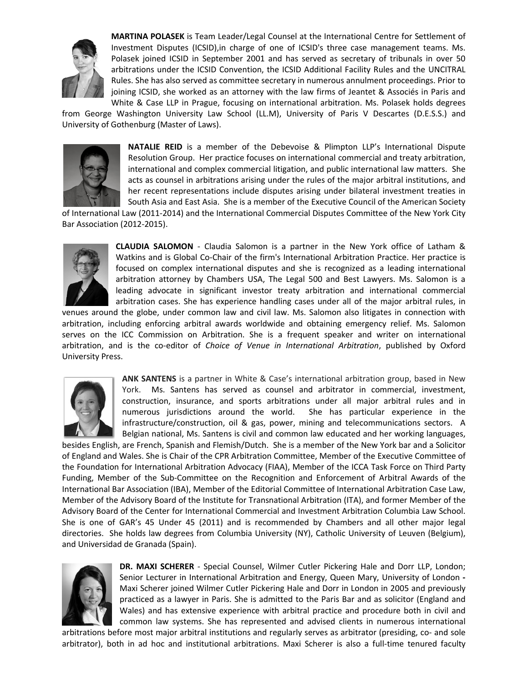

**MARTINA POLASEK** is Team Leader/Legal Counsel at the International Centre for Settlement of Investment Disputes (ICSID),in charge of one of ICSID's three case management teams. Ms. Polasek joined ICSID in September 2001 and has served as secretary of tribunals in over 50 arbitrations under the ICSID Convention, the ICSID Additional Facility Rules and the UNCITRAL Rules. She has also served as committee secretary in numerous annulment proceedings. Prior to joining ICSID, she worked as an attorney with the law firms of Jeantet & Associés in Paris and White & Case LLP in Prague, focusing on international arbitration. Ms. Polasek holds degrees

from George Washington University Law School (LL.M), University of Paris V Descartes (D.E.S.S.) and University of Gothenburg (Master of Laws).



**NATALIE REID** is a member of the Debevoise & Plimpton LLP's International Dispute Resolution Group. Her practice focuses on international commercial and treaty arbitration, international and complex commercial litigation, and public international law matters. She acts as counsel in arbitrations arising under the rules of the major arbitral institutions, and her recent representations include disputes arising under bilateral investment treaties in South Asia and East Asia. She is a member of the Executive Council of the American Society

of International Law (2011-2014) and the International Commercial Disputes Committee of the New York City Bar Association (2012-2015).



**CLAUDIA SALOMON** - Claudia Salomon is a partner in the New York office of Latham & Watkins and is Global Co-Chair of the firm's International Arbitration Practice. Her practice is focused on complex international disputes and she is recognized as a leading international arbitration attorney by Chambers USA, The Legal 500 and Best Lawyers. Ms. Salomon is a leading advocate in significant investor treaty arbitration and international commercial arbitration cases. She has experience handling cases under all of the major arbitral rules, in

venues around the globe, under common law and civil law. Ms. Salomon also litigates in connection with arbitration, including enforcing arbitral awards worldwide and obtaining emergency relief. Ms. Salomon serves on the ICC Commission on Arbitration. She is a frequent speaker and writer on international arbitration, and is the co-editor of *Choice of Venue in International Arbitration*, published by Oxford University Press.



**ANK SANTENS** is a partner in White & Case's international arbitration group, based in New York. Ms. Santens has served as counsel and arbitrator in commercial, investment, construction, insurance, and sports arbitrations under all major arbitral rules and in numerous jurisdictions around the world. She has particular experience in the infrastructure/construction, oil & gas, power, mining and telecommunications sectors. A Belgian national, Ms. Santens is civil and common law educated and her working languages,

besides English, are French, Spanish and Flemish/Dutch. She is a member of the New York bar and a Solicitor of England and Wales. She is Chair of the CPR Arbitration Committee, Member of the Executive Committee of the Foundation for International Arbitration Advocacy (FIAA), Member of the ICCA Task Force on Third Party Funding, Member of the Sub-Committee on the Recognition and Enforcement of Arbitral Awards of the International Bar Association (IBA), Member of the Editorial Committee of International Arbitration Case Law, Member of the Advisory Board of the Institute for Transnational Arbitration (ITA), and former Member of the Advisory Board of the Center for International Commercial and Investment Arbitration Columbia Law School. She is one of GAR's 45 Under 45 (2011) and is recommended by Chambers and all other major legal directories. She holds law degrees from Columbia University (NY), Catholic University of Leuven (Belgium), and Universidad de Granada (Spain).



**DR. MAXI SCHERER** - Special Counsel, Wilmer Cutler Pickering Hale and Dorr LLP, London; Senior Lecturer in International Arbitration and Energy, Queen Mary, University of London **-** Maxi Scherer joined Wilmer Cutler Pickering Hale and Dorr in London in 2005 and previously practiced as a lawyer in Paris. She is admitted to the Paris Bar and as solicitor (England and Wales) and has extensive experience with arbitral practice and procedure both in civil and common law systems. She has represented and advised clients in numerous international

arbitrations before most major arbitral institutions and regularly serves as arbitrator (presiding, co- and sole arbitrator), both in ad hoc and institutional arbitrations. Maxi Scherer is also a full-time tenured faculty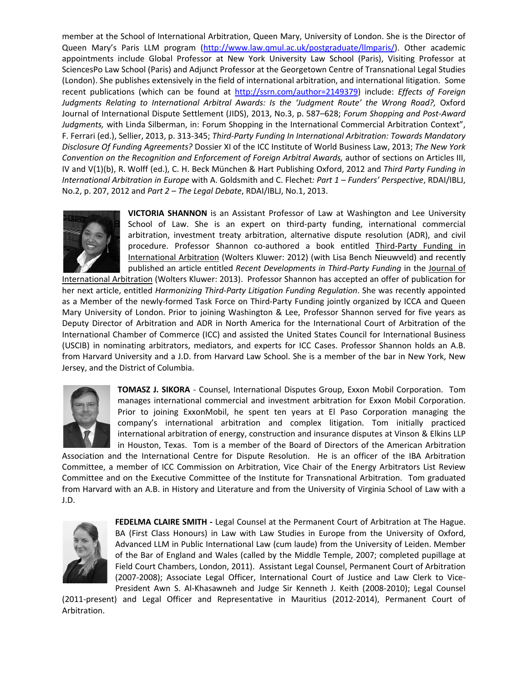member at the School of International Arbitration, Queen Mary, University of London. She is the Director of Queen Mary's Paris LLM program [\(http://www.law.qmul.ac.uk/postgraduate/llmparis/\)](http://www.law.qmul.ac.uk/postgraduate/llmparis). Other academic appointments include Global Professor at New York University Law School (Paris), Visiting Professor at SciencesPo Law School (Paris) and Adjunct Professor at the Georgetown Centre of Transnational Legal Studies (London). She publishes extensively in the field of international arbitration, and international litigation. Some recent publications (which can be found at [http://ssrn.com/author=2149379\)](http://ssrn.com/author=2149379) include: *Effects of Foreign*  Judgments Relating to International Arbitral Awards: Is the 'Judgment Route' the Wrong Road?, Oxford Journal of International Dispute Settlement (JIDS), 2013, No.3, p. 587–628; *Forum Shopping and Post-Award Judgments,* with Linda Silberman, in: Forum Shopping in the International Commercial Arbitration Context", F. Ferrari (ed.), Sellier, 2013, p. 313-345; *Third-Party Funding In International Arbitration: Towards Mandatory Disclosure Of Funding Agreements?* Dossier XI of the ICC Institute of World Business Law, 2013; *The New York Convention on the Recognition and Enforcement of Foreign Arbitral Awards, author of sections on Articles III,* IV and V(1)(b), R. Wolff (ed.), C. H. Beck München & Hart Publishing Oxford, 2012 and *Third Party Funding in International Arbitration in Europe* with A. Goldsmith and C. Flechet*: Part 1 – Funders' Perspective*, RDAI/IBLJ, No.2, p. 207, 2012 and *Part 2 – The Legal Debate*, RDAI/IBLJ, No.1, 2013.



**VICTORIA SHANNON** is an Assistant Professor of Law at Washington and Lee University School of Law. She is an expert on third-party funding, international commercial arbitration, investment treaty arbitration, alternative dispute resolution (ADR), and civil procedure. Professor Shannon co-authored a book entitled Third-Party Funding in International Arbitration (Wolters Kluwer: 2012) (with Lisa Bench Nieuwveld) and recently published an article entitled *Recent Developments in Third-Party Funding* in the Journal of

International Arbitration (Wolters Kluwer: 2013). Professor Shannon has accepted an offer of publication for her next article, entitled *Harmonizing Third-Party Litigation Funding Regulation*. She was recently appointed as a Member of the newly-formed Task Force on Third-Party Funding jointly organized by ICCA and Queen Mary University of London. Prior to joining Washington & Lee, Professor Shannon served for five years as Deputy Director of Arbitration and ADR in North America for the International Court of Arbitration of the International Chamber of Commerce (ICC) and assisted the United States Council for International Business (USCIB) in nominating arbitrators, mediators, and experts for ICC Cases. Professor Shannon holds an A.B. from Harvard University and a J.D. from Harvard Law School. She is a member of the bar in New York, New Jersey, and the District of Columbia.



**TOMASZ J. SIKORA** - Counsel, International Disputes Group, Exxon Mobil Corporation. Tom manages international commercial and investment arbitration for Exxon Mobil Corporation. Prior to joining ExxonMobil, he spent ten years at El Paso Corporation managing the company's international arbitration and complex litigation. Tom initially practiced international arbitration of energy, construction and insurance disputes at Vinson & Elkins LLP in Houston, Texas. Tom is a member of the Board of Directors of the American Arbitration

Association and the International Centre for Dispute Resolution. He is an officer of the IBA Arbitration Committee, a member of ICC Commission on Arbitration, Vice Chair of the Energy Arbitrators List Review Committee and on the Executive Committee of the Institute for Transnational Arbitration. Tom graduated from Harvard with an A.B. in History and Literature and from the University of Virginia School of Law with a J.D.



**FEDELMA CLAIRE SMITH -** Legal Counsel at the Permanent Court of Arbitration at The Hague. BA (First Class Honours) in Law with Law Studies in Europe from the University of Oxford, Advanced LLM in Public International Law (cum laude) from the University of Leiden. Member of the Bar of England and Wales (called by the Middle Temple, 2007; completed pupillage at Field Court Chambers, London, 2011). Assistant Legal Counsel, Permanent Court of Arbitration (2007-2008); Associate Legal Officer, International Court of Justice and Law Clerk to Vice-President Awn S. Al-Khasawneh and Judge Sir Kenneth J. Keith (2008-2010); Legal Counsel

(2011-present) and Legal Officer and Representative in Mauritius (2012-2014), Permanent Court of Arbitration.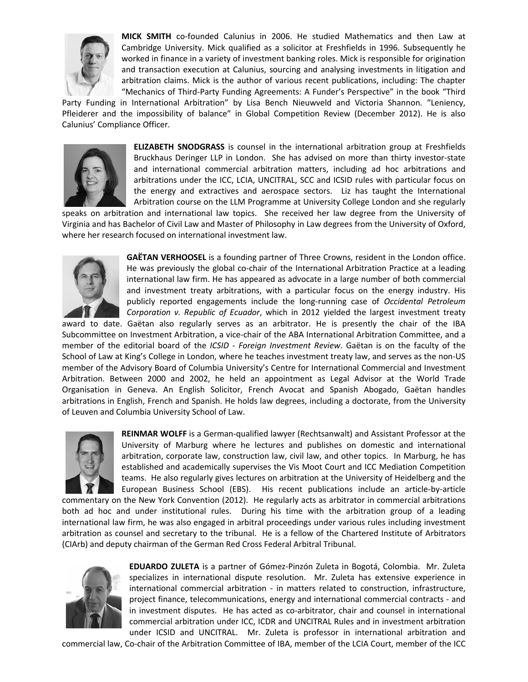

**MICK SMITH** co-founded Calunius in 2006. He studied Mathematics and then Law at Cambridge University. Mick qualified as a solicitor at Freshfields in 1996. Subsequently he worked in finance in a variety of investment banking roles. Mick is responsible for origination and transaction execution at Calunius, sourcing and analysing investments in litigation and arbitration claims. Mick is the author of various recent publications, including: The chapter "Mechanics of Third-Party Funding Agreements: A Funder's Perspective" in the book "Third

Party Funding in International Arbitration" by Lisa Bench Nieuwveld and Victoria Shannon. "Leniency, Pfleiderer and the impossibility of balance" in Global Competition Review (December 2012). He is also Calunius' Compliance Officer.



**ELIZABETH SNODGRASS** is counsel in the international arbitration group at Freshfields Bruckhaus Deringer LLP in London. She has advised on more than thirty investor-state and international commercial arbitration matters, including ad hoc arbitrations and arbitrations under the ICC, LCIA, UNCITRAL, SCC and ICSID rules with particular focus on the energy and extractives and aerospace sectors. Liz has taught the International Arbitration course on the LLM Programme at University College London and she regularly

speaks on arbitration and international law topics. She received her law degree from the University of Virginia and has Bachelor of Civil Law and Master of Philosophy in Law degrees from the University of Oxford, where her research focused on international investment law.



**GAËTAN VERHOOSEL** is a founding partner of Three Crowns, resident in the London office. He was previously the global co-chair of the International Arbitration Practice at a leading international law firm. He has appeared as advocate in a large number of both commercial and investment treaty arbitrations, with a particular focus on the energy industry. His publicly reported engagements include the long-running case of *Occidental Petroleum Corporation v. Republic of Ecuador*, which in 2012 yielded the largest investment treaty

award to date. Gaëtan also regularly serves as an arbitrator. He is presently the chair of the IBA Subcommittee on Investment Arbitration, a vice-chair of the ABA International Arbitration Committee, and a member of the editorial board of the *ICSID - Foreign Investment Review*. Gaëtan is on the faculty of the School of Law at King's College in London, where he teaches investment treaty law, and serves as the non-US member of the Advisory Board of Columbia University's Centre for International Commercial and Investment Arbitration. Between 2000 and 2002, he held an appointment as Legal Advisor at the World Trade Organisation in Geneva. An English Solicitor, French Avocat and Spanish Abogado, Gaëtan handles arbitrations in English, French and Spanish. He holds law degrees, including a doctorate, from the University of Leuven and Columbia University School of Law.



**REINMAR WOLFF** is a German-qualified lawyer (Rechtsanwalt) and Assistant Professor at the University of Marburg where he lectures and publishes on domestic and international arbitration, corporate law, construction law, civil law, and other topics. In Marburg, he has established and academically supervises the Vis Moot Court and ICC Mediation Competition teams. He also regularly gives lectures on arbitration at the University of Heidelberg and the European Business School (EBS). His recent publications include an article-by-article

commentary on the New York Convention (2012). He regularly acts as arbitrator in commercial arbitrations both ad hoc and under institutional rules. During his time with the arbitration group of a leading international law firm, he was also engaged in arbitral proceedings under various rules including investment arbitration as counsel and secretary to the tribunal. He is a fellow of the Chartered Institute of Arbitrators (CIArb) and deputy chairman of the German Red Cross Federal Arbitral Tribunal.



**EDUARDO ZULETA** is a partner of Gómez-Pinzón Zuleta in Bogotá, Colombia. Mr. Zuleta specializes in international dispute resolution. Mr. Zuleta has extensive experience in international commercial arbitration - in matters related to construction, infrastructure, project finance, telecommunications, energy and international commercial contracts - and in investment disputes. He has acted as co-arbitrator, chair and counsel in international commercial arbitration under ICC, ICDR and UNCITRAL Rules and in investment arbitration under ICSID and UNCITRAL. Mr. Zuleta is professor in international arbitration and

commercial law, Co-chair of the Arbitration Committee of IBA, member of the LCIA Court, member of the ICC